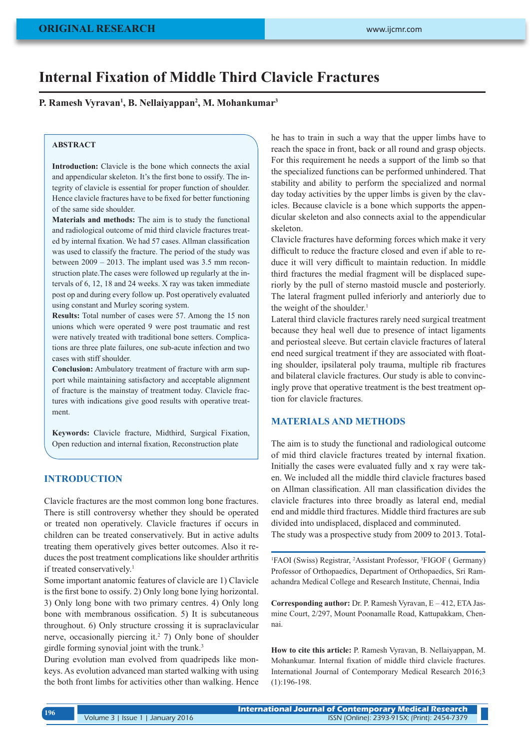# **Internal Fixation of Middle Third Clavicle Fractures**

**P. Ramesh Vyravan1 , B. Nellaiyappan2 , M. Mohankumar3**

#### **ABSTRACT**

**Introduction:** Clavicle is the bone which connects the axial and appendicular skeleton. It's the first bone to ossify. The integrity of clavicle is essential for proper function of shoulder. Hence clavicle fractures have to be fixed for better functioning of the same side shoulder.

**Materials and methods:** The aim is to study the functional and radiological outcome of mid third clavicle fractures treated by internal fixation. We had 57 cases. Allman classification was used to classify the fracture. The period of the study was between 2009 – 2013. The implant used was 3.5 mm reconstruction plate.The cases were followed up regularly at the intervals of 6, 12, 18 and 24 weeks. X ray was taken immediate post op and during every follow up. Post operatively evaluated using constant and Murley scoring system.

**Results:** Total number of cases were 57. Among the 15 non unions which were operated 9 were post traumatic and rest were natively treated with traditional bone setters. Complications are three plate failures, one sub-acute infection and two cases with stiff shoulder.

**Conclusion:** Ambulatory treatment of fracture with arm support while maintaining satisfactory and acceptable alignment of fracture is the mainstay of treatment today. Clavicle fractures with indications give good results with operative treatment.

**Keywords:** Clavicle fracture, Midthird, Surgical Fixation, Open reduction and internal fixation, Reconstruction plate

### **INTRODUCTION**

Clavicle fractures are the most common long bone fractures. There is still controversy whether they should be operated or treated non operatively. Clavicle fractures if occurs in children can be treated conservatively. But in active adults treating them operatively gives better outcomes. Also it reduces the post treatment complications like shoulder arthritis if treated conservatively.<sup>1</sup>

Some important anatomic features of clavicle are 1) Clavicle is the first bone to ossify. 2) Only long bone lying horizontal. 3) Only long bone with two primary centres. 4) Only long bone with membranous ossification. 5) It is subcutaneous throughout. 6) Only structure crossing it is supraclavicular nerve, occasionally piercing it.<sup>2</sup> 7) Only bone of shoulder girdle forming synovial joint with the trunk.<sup>3</sup>

During evolution man evolved from quadripeds like monkeys. As evolution advanced man started walking with using the both front limbs for activities other than walking. Hence he has to train in such a way that the upper limbs have to reach the space in front, back or all round and grasp objects. For this requirement he needs a support of the limb so that the specialized functions can be performed unhindered. That stability and ability to perform the specialized and normal day today activities by the upper limbs is given by the clavicles. Because clavicle is a bone which supports the appendicular skeleton and also connects axial to the appendicular skeleton.

Clavicle fractures have deforming forces which make it very difficult to reduce the fracture closed and even if able to reduce it will very difficult to maintain reduction. In middle third fractures the medial fragment will be displaced superiorly by the pull of sterno mastoid muscle and posteriorly. The lateral fragment pulled inferiorly and anteriorly due to the weight of the shoulder.<sup>1</sup>

Lateral third clavicle fractures rarely need surgical treatment because they heal well due to presence of intact ligaments and periosteal sleeve. But certain clavicle fractures of lateral end need surgical treatment if they are associated with floating shoulder, ipsilateral poly trauma, multiple rib fractures and bilateral clavicle fractures. Our study is able to convincingly prove that operative treatment is the best treatment option for clavicle fractures.

### **MATERIALS AND METHODS**

The aim is to study the functional and radiological outcome of mid third clavicle fractures treated by internal fixation. Initially the cases were evaluated fully and x ray were taken. We included all the middle third clavicle fractures based on Allman classification. All man classification divides the clavicle fractures into three broadly as lateral end, medial end and middle third fractures. Middle third fractures are sub divided into undisplaced, displaced and comminuted.

The study was a prospective study from 2009 to 2013. Total-

<sup>1</sup>FAOI (Swiss) Registrar, <sup>2</sup>Assistant Professor, <sup>3</sup>FIGOF (Germany) Professor of Orthopaedics, Department of Orthopaedics, Sri Ramachandra Medical College and Research Institute, Chennai, India

**Corresponding author:** Dr. P. Ramesh Vyravan, E – 412, ETA Jasmine Court, 2/297, Mount Poonamalle Road, Kattupakkam, Chennai.

**How to cite this article:** P. Ramesh Vyravan, B. Nellaiyappan, M. Mohankumar. Internal fixation of middle third clavicle fractures. International Journal of Contemporary Medical Research 2016;3 (1):196-198.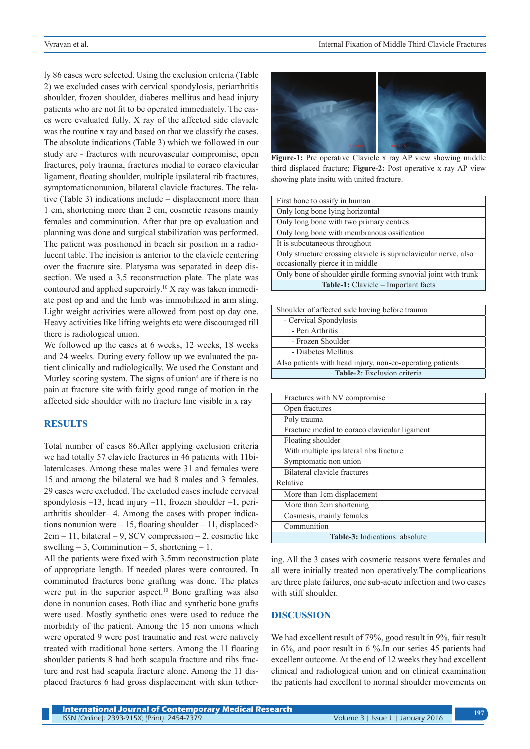ly 86 cases were selected. Using the exclusion criteria (Table 2) we excluded cases with cervical spondylosis, periarthritis shoulder, frozen shoulder, diabetes mellitus and head injury patients who are not fit to be operated immediately. The cases were evaluated fully. X ray of the affected side clavicle was the routine x ray and based on that we classify the cases. The absolute indications (Table 3) which we followed in our study are - fractures with neurovascular compromise, open fractures, poly trauma, fractures medial to coraco clavicular ligament, floating shoulder, multiple ipsilateral rib fractures, symptomaticnonunion, bilateral clavicle fractures. The relative (Table 3) indications include – displacement more than 1 cm, shortening more than 2 cm, cosmetic reasons mainly females and comminution. After that pre op evaluation and planning was done and surgical stabilization was performed. The patient was positioned in beach sir position in a radiolucent table. The incision is anterior to the clavicle centering over the fracture site. Platysma was separated in deep dissection. We used a 3.5 reconstruction plate. The plate was contoured and applied superoirly.10 X ray was taken immediate post op and and the limb was immobilized in arm sling. Light weight activities were allowed from post op day one. Heavy activities like lifting weights etc were discouraged till there is radiological union.

We followed up the cases at 6 weeks, 12 weeks, 18 weeks and 24 weeks. During every follow up we evaluated the patient clinically and radiologically. We used the Constant and Murley scoring system. The signs of union<sup>4</sup> are if there is no pain at fracture site with fairly good range of motion in the affected side shoulder with no fracture line visible in x ray

## **RESULTS**

Total number of cases 86.After applying exclusion criteria we had totally 57 clavicle fractures in 46 patients with 11bilateralcases. Among these males were 31 and females were 15 and among the bilateral we had 8 males and 3 females. 29 cases were excluded. The excluded cases include cervical spondylosis –13, head injury –11, frozen shoulder –1, periarthritis shoulder– 4. Among the cases with proper indications nonunion were  $-15$ , floating shoulder  $-11$ , displaced>  $2cm - 11$ , bilateral  $-9$ , SCV compression  $-2$ , cosmetic like swelling  $-3$ , Comminution  $-5$ , shortening  $-1$ .

All the patients were fixed with 3.5mm reconstruction plate of appropriate length. If needed plates were contoured. In comminuted fractures bone grafting was done. The plates were put in the superior aspect.<sup>10</sup> Bone grafting was also done in nonunion cases. Both iliac and synthetic bone grafts were used. Mostly synthetic ones were used to reduce the morbidity of the patient. Among the 15 non unions which were operated 9 were post traumatic and rest were natively treated with traditional bone setters. Among the 11 floating shoulder patients 8 had both scapula fracture and ribs fracture and rest had scapula fracture alone. Among the 11 displaced fractures 6 had gross displacement with skin tether-



**Figure-1:** Pre operative Clavicle x ray AP view showing middle third displaced fracture; **Figure-2:** Post operative x ray AP view showing plate insitu with united fracture.

| Shoulder of affected side having before trauma            |
|-----------------------------------------------------------|
| - Cervical Spondylosis                                    |
| - Peri Arthritis                                          |
| - Frozen Shoulder                                         |
| - Diabetes Mellitus                                       |
| Also patients with head injury, non-co-operating patients |
| <b>Table-2:</b> Exclusion criteria                        |

| Fractures with NV compromise                  |
|-----------------------------------------------|
| Open fractures                                |
| Poly trauma                                   |
| Fracture medial to coraco clavicular ligament |
| Floating shoulder                             |
| With multiple ipsilateral ribs fracture       |
| Symptomatic non union                         |
| Bilateral clavicle fractures                  |
| Relative                                      |
| More than 1cm displacement                    |
| More than 2cm shortening                      |
| Cosmesis, mainly females                      |
| Communition                                   |
| Table-3: Indications: absolute                |

ing. All the 3 cases with cosmetic reasons were females and all were initially treated non operatively.The complications are three plate failures, one sub-acute infection and two cases with stiff shoulder.

## **DISCUSSION**

We had excellent result of 79%, good result in 9%, fair result in 6%, and poor result in 6 %.In our series 45 patients had excellent outcome. At the end of 12 weeks they had excellent clinical and radiological union and on clinical examination the patients had excellent to normal shoulder movements on